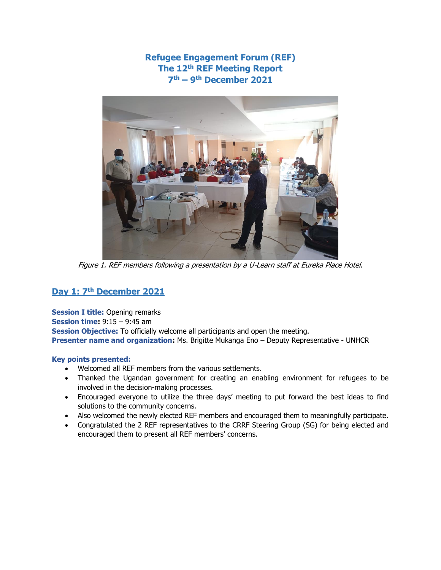# **Refugee Engagement Forum (REF) The 12th REF Meeting Report 7 th – 9 th December 2021**



Figure 1. REF members following a presentation by a U-Learn staff at Eureka Place Hotel.

# **Day 1: 7th December 2021**

**Session I title:** Opening remarks **Session time:** 9:15 – 9:45 am **Session Objective:** To officially welcome all participants and open the meeting. **Presenter name and organization:** Ms. Brigitte Mukanga Eno – Deputy Representative - UNHCR

#### **Key points presented:**

- Welcomed all REF members from the various settlements.
- Thanked the Ugandan government for creating an enabling environment for refugees to be involved in the decision-making processes.
- Encouraged everyone to utilize the three days' meeting to put forward the best ideas to find solutions to the community concerns.
- Also welcomed the newly elected REF members and encouraged them to meaningfully participate.
- Congratulated the 2 REF representatives to the CRRF Steering Group (SG) for being elected and encouraged them to present all REF members' concerns.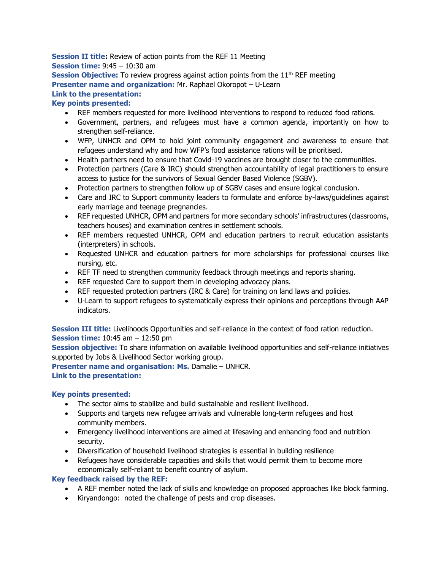# **Session II title:** Review of action points from the REF 11 Meeting **Session time:** 9:45 – 10:30 am **Session Objective:** To review progress against action points from the 11<sup>th</sup> REF meeting **Presenter name and organization:** Mr. Raphael Okoropot – U-Learn **Link to the presentation: Key points presented:**

- REF members requested for more livelihood interventions to respond to reduced food rations.
- Government, partners, and refugees must have a common agenda, importantly on how to strengthen self-reliance.
- WFP, UNHCR and OPM to hold joint community engagement and awareness to ensure that refugees understand why and how WFP's food assistance rations will be prioritised.
- Health partners need to ensure that Covid-19 vaccines are brought closer to the communities.
- Protection partners (Care & IRC) should strengthen accountability of legal practitioners to ensure access to justice for the survivors of Sexual Gender Based Violence (SGBV).
- Protection partners to strengthen follow up of SGBV cases and ensure logical conclusion.
- Care and IRC to Support community leaders to formulate and enforce by-laws/guidelines against early marriage and teenage pregnancies.
- REF requested UNHCR, OPM and partners for more secondary schools' infrastructures (classrooms, teachers houses) and examination centres in settlement schools.
- REF members requested UNHCR, OPM and education partners to recruit education assistants (interpreters) in schools.
- Requested UNHCR and education partners for more scholarships for professional courses like nursing, etc.
- REF TF need to strengthen community feedback through meetings and reports sharing.
- REF requested Care to support them in developing advocacy plans.
- REF requested protection partners (IRC & Care) for training on land laws and policies.
- U-Learn to support refugees to systematically express their opinions and perceptions through AAP indicators.

**Session III title:** Livelihoods Opportunities and self-reliance in the context of food ration reduction. **Session time:** 10:45 am – 12:50 pm

**Session objective:** To share information on available livelihood opportunities and self-reliance initiatives supported by Jobs & Livelihood Sector working group.

**Presenter name and organisation: Ms. Damalie – UNHCR. Link to the presentation:**

#### **Key points presented:**

- The sector aims to stabilize and build sustainable and resilient livelihood.
- Supports and targets new refugee arrivals and vulnerable long-term refugees and host community members.
- Emergency livelihood interventions are aimed at lifesaving and enhancing food and nutrition security.
- Diversification of household livelihood strategies is essential in building resilience
- Refugees have considerable capacities and skills that would permit them to become more economically self-reliant to benefit country of asylum.

#### **Key feedback raised by the REF:**

- A REF member noted the lack of skills and knowledge on proposed approaches like block farming.
- Kiryandongo: noted the challenge of pests and crop diseases.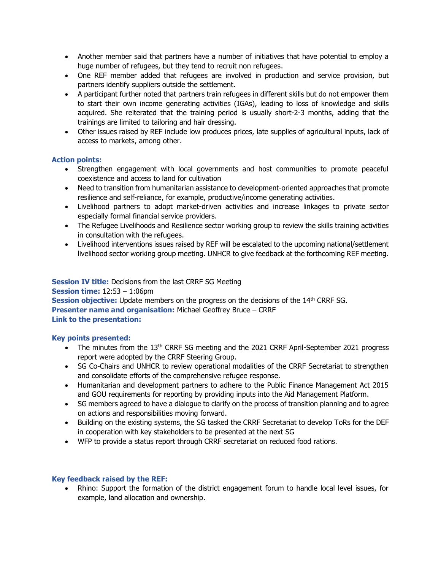- Another member said that partners have a number of initiatives that have potential to employ a huge number of refugees, but they tend to recruit non refugees.
- One REF member added that refugees are involved in production and service provision, but partners identify suppliers outside the settlement.
- A participant further noted that partners train refugees in different skills but do not empower them to start their own income generating activities (IGAs), leading to loss of knowledge and skills acquired. She reiterated that the training period is usually short-2-3 months, adding that the trainings are limited to tailoring and hair dressing.
- Other issues raised by REF include low produces prices, late supplies of agricultural inputs, lack of access to markets, among other.

# **Action points:**

- Strengthen engagement with local governments and host communities to promote peaceful coexistence and access to land for cultivation
- Need to transition from humanitarian assistance to development-oriented approaches that promote resilience and self-reliance, for example, productive/income generating activities.
- Livelihood partners to adopt market-driven activities and increase linkages to private sector especially formal financial service providers.
- The Refugee Livelihoods and Resilience sector working group to review the skills training activities in consultation with the refugees.
- Livelihood interventions issues raised by REF will be escalated to the upcoming national/settlement livelihood sector working group meeting. UNHCR to give feedback at the forthcoming REF meeting.

### **Session IV title:** Decisions from the last CRRF SG Meeting **Session time:** 12:53 – 1:06pm **Session objective:** Update members on the progress on the decisions of the 14<sup>th</sup> CRRF SG. **Presenter name and organisation:** Michael Geoffrey Bruce – CRRF **Link to the presentation:**

#### **Key points presented:**

- The minutes from the 13<sup>th</sup> CRRF SG meeting and the 2021 CRRF April-September 2021 progress report were adopted by the CRRF Steering Group.
- SG Co-Chairs and UNHCR to review operational modalities of the CRRF Secretariat to strengthen and consolidate efforts of the comprehensive refugee response.
- Humanitarian and development partners to adhere to the Public Finance Management Act 2015 and GOU requirements for reporting by providing inputs into the Aid Management Platform.
- SG members agreed to have a dialogue to clarify on the process of transition planning and to agree on actions and responsibilities moving forward.
- Building on the existing systems, the SG tasked the CRRF Secretariat to develop ToRs for the DEF in cooperation with key stakeholders to be presented at the next SG
- WFP to provide a status report through CRRF secretariat on reduced food rations.

#### **Key feedback raised by the REF:**

• Rhino: Support the formation of the district engagement forum to handle local level issues, for example, land allocation and ownership.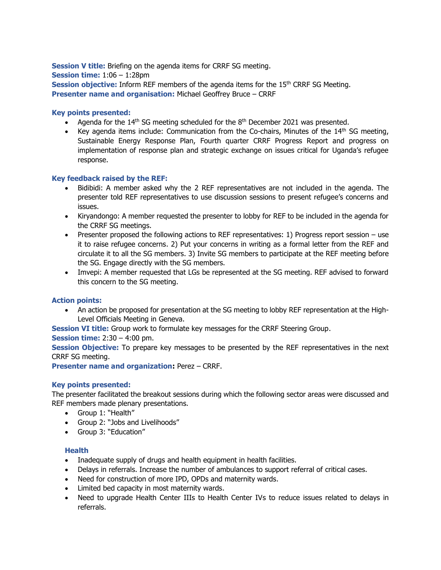**Session V title:** Briefing on the agenda items for CRRF SG meeting. **Session time:** 1:06 – 1:28pm **Session objective:** Inform REF members of the agenda items for the 15<sup>th</sup> CRRF SG Meeting. **Presenter name and organisation:** Michael Geoffrey Bruce – CRRF

### **Key points presented:**

- Agenda for the  $14<sup>th</sup>$  SG meeting scheduled for the  $8<sup>th</sup>$  December 2021 was presented.
- Key agenda items include: Communication from the Co-chairs, Minutes of the  $14<sup>th</sup>$  SG meeting, Sustainable Energy Response Plan, Fourth quarter CRRF Progress Report and progress on implementation of response plan and strategic exchange on issues critical for Uganda's refugee response.

#### **Key feedback raised by the REF:**

- Bidibidi: A member asked why the 2 REF representatives are not included in the agenda. The presenter told REF representatives to use discussion sessions to present refugee's concerns and issues.
- Kiryandongo: A member requested the presenter to lobby for REF to be included in the agenda for the CRRF SG meetings.
- Presenter proposed the following actions to REF representatives: 1) Progress report session use it to raise refugee concerns. 2) Put your concerns in writing as a formal letter from the REF and circulate it to all the SG members. 3) Invite SG members to participate at the REF meeting before the SG. Engage directly with the SG members.
- Imvepi: A member requested that LGs be represented at the SG meeting. REF advised to forward this concern to the SG meeting.

#### **Action points:**

• An action be proposed for presentation at the SG meeting to lobby REF representation at the High-Level Officials Meeting in Geneva.

**Session VI title:** Group work to formulate key messages for the CRRF Steering Group.

#### **Session time:** 2:30 – 4:00 pm.

**Session Objective:** To prepare key messages to be presented by the REF representatives in the next CRRF SG meeting.

**Presenter name and organization:** Perez – CRRF.

#### **Key points presented:**

The presenter facilitated the breakout sessions during which the following sector areas were discussed and REF members made plenary presentations.

- Group 1: "Health"
- Group 2: "Jobs and Livelihoods"
- Group 3: "Education"

#### **Health**

- Inadequate supply of drugs and health equipment in health facilities.
- Delays in referrals. Increase the number of ambulances to support referral of critical cases.
- Need for construction of more IPD, OPDs and maternity wards.
- Limited bed capacity in most maternity wards.
- Need to upgrade Health Center IIIs to Health Center IVs to reduce issues related to delays in referrals.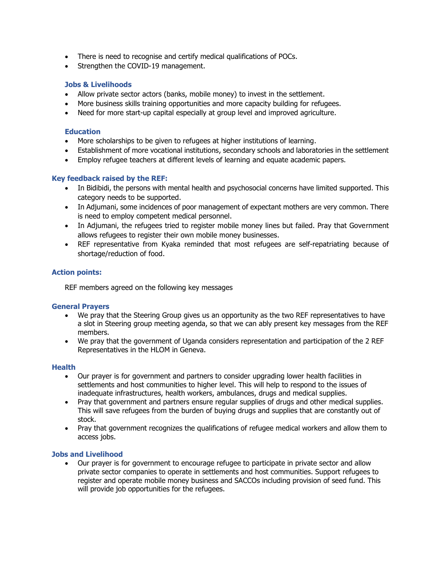- There is need to recognise and certify medical qualifications of POCs.
- Strengthen the COVID-19 management.

### **Jobs & Livelihoods**

- Allow private sector actors (banks, mobile money) to invest in the settlement.
- More business skills training opportunities and more capacity building for refugees.
- Need for more start-up capital especially at group level and improved agriculture.

#### **Education**

- More scholarships to be given to refugees at higher institutions of learning.
- Establishment of more vocational institutions, secondary schools and laboratories in the settlement
- Employ refugee teachers at different levels of learning and equate academic papers.

#### **Key feedback raised by the REF:**

- In Bidibidi, the persons with mental health and psychosocial concerns have limited supported. This category needs to be supported.
- In Adjumani, some incidences of poor management of expectant mothers are very common. There is need to employ competent medical personnel.
- In Adjumani, the refugees tried to register mobile money lines but failed. Pray that Government allows refugees to register their own mobile money businesses.
- REF representative from Kyaka reminded that most refugees are self-repatriating because of shortage/reduction of food.

#### **Action points:**

REF members agreed on the following key messages

#### **General Prayers**

- We pray that the Steering Group gives us an opportunity as the two REF representatives to have a slot in Steering group meeting agenda, so that we can ably present key messages from the REF members.
- We pray that the government of Uganda considers representation and participation of the 2 REF Representatives in the HLOM in Geneva.

#### **Health**

- Our prayer is for government and partners to consider upgrading lower health facilities in settlements and host communities to higher level. This will help to respond to the issues of inadequate infrastructures, health workers, ambulances, drugs and medical supplies.
- Pray that government and partners ensure regular supplies of drugs and other medical supplies. This will save refugees from the burden of buying drugs and supplies that are constantly out of stock.
- Pray that government recognizes the qualifications of refugee medical workers and allow them to access jobs.

#### **Jobs and Livelihood**

• Our prayer is for government to encourage refugee to participate in private sector and allow private sector companies to operate in settlements and host communities. Support refugees to register and operate mobile money business and SACCOs including provision of seed fund. This will provide job opportunities for the refugees.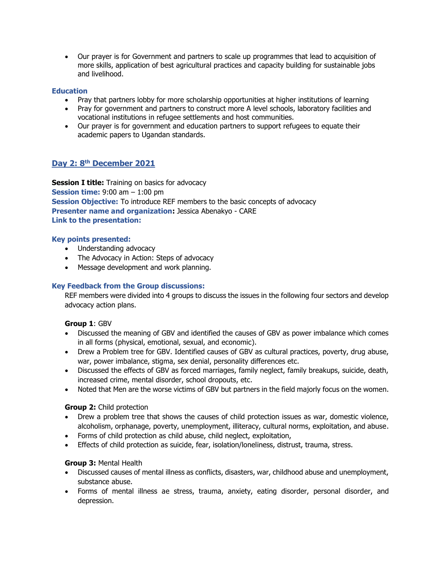• Our prayer is for Government and partners to scale up programmes that lead to acquisition of more skills, application of best agricultural practices and capacity building for sustainable jobs and livelihood.

# **Education**

- Pray that partners lobby for more scholarship opportunities at higher institutions of learning
- Pray for government and partners to construct more A level schools, laboratory facilities and vocational institutions in refugee settlements and host communities.
- Our prayer is for government and education partners to support refugees to equate their academic papers to Ugandan standards.

# **Day 2: 8th December 2021**

**Session I title:** Training on basics for advocacy **Session time:** 9:00 am – 1:00 pm **Session Objective:** To introduce REF members to the basic concepts of advocacy **Presenter name and organization:** Jessica Abenakyo - CARE **Link to the presentation:**

#### **Key points presented:**

- Understanding advocacy
- The Advocacy in Action: Steps of advocacy
- Message development and work planning.

#### **Key Feedback from the Group discussions:**

REF members were divided into 4 groups to discuss the issues in the following four sectors and develop advocacy action plans.

#### **Group 1**: GBV

- Discussed the meaning of GBV and identified the causes of GBV as power imbalance which comes in all forms (physical, emotional, sexual, and economic).
- Drew a Problem tree for GBV. Identified causes of GBV as cultural practices, poverty, drug abuse, war, power imbalance, stigma, sex denial, personality differences etc.
- Discussed the effects of GBV as forced marriages, family neglect, family breakups, suicide, death, increased crime, mental disorder, school dropouts, etc.
- Noted that Men are the worse victims of GBV but partners in the field majorly focus on the women.

#### **Group 2:** Child protection

- Drew a problem tree that shows the causes of child protection issues as war, domestic violence, alcoholism, orphanage, poverty, unemployment, illiteracy, cultural norms, exploitation, and abuse.
- Forms of child protection as child abuse, child neglect, exploitation,
- Effects of child protection as suicide, fear, isolation/loneliness, distrust, trauma, stress.

#### **Group 3:** Mental Health

- Discussed causes of mental illness as conflicts, disasters, war, childhood abuse and unemployment, substance abuse.
- Forms of mental illness ae stress, trauma, anxiety, eating disorder, personal disorder, and depression.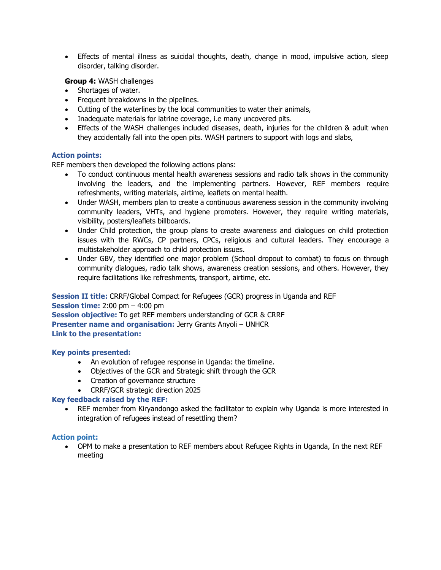• Effects of mental illness as suicidal thoughts, death, change in mood, impulsive action, sleep disorder, talking disorder.

#### **Group 4:** WASH challenges

- Shortages of water.
- Frequent breakdowns in the pipelines.
- Cutting of the waterlines by the local communities to water their animals,
- Inadequate materials for latrine coverage, i.e many uncovered pits.
- Effects of the WASH challenges included diseases, death, injuries for the children & adult when they accidentally fall into the open pits. WASH partners to support with logs and slabs,

#### **Action points:**

REF members then developed the following actions plans:

- To conduct continuous mental health awareness sessions and radio talk shows in the community involving the leaders, and the implementing partners. However, REF members require refreshments, writing materials, airtime, leaflets on mental health.
- Under WASH, members plan to create a continuous awareness session in the community involving community leaders, VHTs, and hygiene promoters. However, they require writing materials, visibility, posters/leaflets billboards.
- Under Child protection, the group plans to create awareness and dialogues on child protection issues with the RWCs, CP partners, CPCs, religious and cultural leaders. They encourage a multistakeholder approach to child protection issues.
- Under GBV, they identified one major problem (School dropout to combat) to focus on through community dialogues, radio talk shows, awareness creation sessions, and others. However, they require facilitations like refreshments, transport, airtime, etc.

**Session II title:** CRRF/Global Compact for Refugees (GCR) progress in Uganda and REF **Session time:** 2:00 pm – 4:00 pm **Session objective:** To get REF members understanding of GCR & CRRF **Presenter name and organisation:** Jerry Grants Anyoli – UNHCR **Link to the presentation:**

#### **Key points presented:**

- An evolution of refugee response in Uganda: the timeline.
- Objectives of the GCR and Strategic shift through the GCR
- Creation of governance structure
- CRRF/GCR strategic direction 2025

#### **Key feedback raised by the REF:**

• REF member from Kiryandongo asked the facilitator to explain why Uganda is more interested in integration of refugees instead of resettling them?

#### **Action point:**

• OPM to make a presentation to REF members about Refugee Rights in Uganda, In the next REF meeting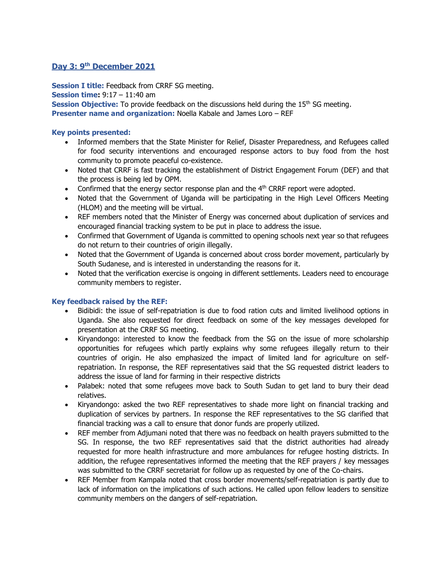# **Day 3: 9th December 2021**

**Session I title:** Feedback from CRRF SG meeting.

**Session time:** 9:17 – 11:40 am

**Session Objective:** To provide feedback on the discussions held during the 15<sup>th</sup> SG meeting. **Presenter name and organization:** Noella Kabale and James Loro – REF

#### **Key points presented:**

- Informed members that the State Minister for Relief, Disaster Preparedness, and Refugees called for food security interventions and encouraged response actors to buy food from the host community to promote peaceful co-existence.
- Noted that CRRF is fast tracking the establishment of District Engagement Forum (DEF) and that the process is being led by OPM.
- Confirmed that the energy sector response plan and the  $4<sup>th</sup>$  CRRF report were adopted.
- Noted that the Government of Uganda will be participating in the High Level Officers Meeting (HLOM) and the meeting will be virtual.
- REF members noted that the Minister of Energy was concerned about duplication of services and encouraged financial tracking system to be put in place to address the issue.
- Confirmed that Government of Uganda is committed to opening schools next year so that refugees do not return to their countries of origin illegally.
- Noted that the Government of Uganda is concerned about cross border movement, particularly by South Sudanese, and is interested in understanding the reasons for it.
- Noted that the verification exercise is ongoing in different settlements. Leaders need to encourage community members to register.

#### **Key feedback raised by the REF:**

- Bidibidi: the issue of self-repatriation is due to food ration cuts and limited livelihood options in Uganda. She also requested for direct feedback on some of the key messages developed for presentation at the CRRF SG meeting.
- Kiryandongo: interested to know the feedback from the SG on the issue of more scholarship opportunities for refugees which partly explains why some refugees illegally return to their countries of origin. He also emphasized the impact of limited land for agriculture on selfrepatriation. In response, the REF representatives said that the SG requested district leaders to address the issue of land for farming in their respective districts
- Palabek: noted that some refugees move back to South Sudan to get land to bury their dead relatives.
- Kiryandongo: asked the two REF representatives to shade more light on financial tracking and duplication of services by partners. In response the REF representatives to the SG clarified that financial tracking was a call to ensure that donor funds are properly utilized.
- REF member from Adjumani noted that there was no feedback on health prayers submitted to the SG. In response, the two REF representatives said that the district authorities had already requested for more health infrastructure and more ambulances for refugee hosting districts. In addition, the refugee representatives informed the meeting that the REF prayers / key messages was submitted to the CRRF secretariat for follow up as requested by one of the Co-chairs.
- REF Member from Kampala noted that cross border movements/self-repatriation is partly due to lack of information on the implications of such actions. He called upon fellow leaders to sensitize community members on the dangers of self-repatriation.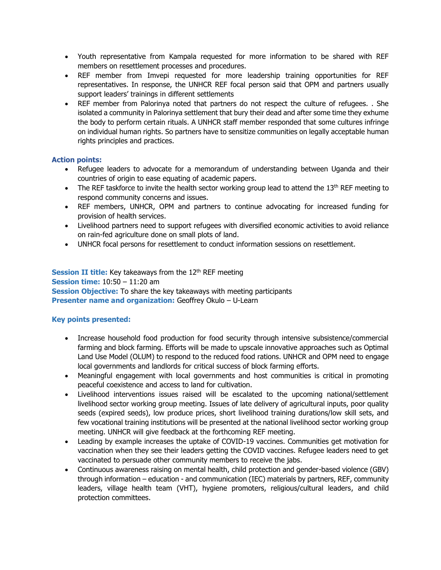- Youth representative from Kampala requested for more information to be shared with REF members on resettlement processes and procedures.
- REF member from Imvepi requested for more leadership training opportunities for REF representatives. In response, the UNHCR REF focal person said that OPM and partners usually support leaders' trainings in different settlements
- REF member from Palorinya noted that partners do not respect the culture of refugees. . She isolated a community in Palorinya settlement that bury their dead and after some time they exhume the body to perform certain rituals. A UNHCR staff member responded that some cultures infringe on individual human rights. So partners have to sensitize communities on legally acceptable human rights principles and practices.

# **Action points:**

- Refugee leaders to advocate for a memorandum of understanding between Uganda and their countries of origin to ease equating of academic papers.
- The REF taskforce to invite the health sector working group lead to attend the  $13<sup>th</sup>$  REF meeting to respond community concerns and issues.
- REF members, UNHCR, OPM and partners to continue advocating for increased funding for provision of health services.
- Livelihood partners need to support refugees with diversified economic activities to avoid reliance on rain-fed agriculture done on small plots of land.
- UNHCR focal persons for resettlement to conduct information sessions on resettlement.

**Session II title:** Key takeaways from the 12<sup>th</sup> REF meeting **Session time:** 10:50 – 11:20 am **Session Objective:** To share the key takeaways with meeting participants **Presenter name and organization:** Geoffrey Okulo – U-Learn

#### **Key points presented:**

- Increase household food production for food security through intensive subsistence/commercial farming and block farming. Efforts will be made to upscale innovative approaches such as Optimal Land Use Model (OLUM) to respond to the reduced food rations. UNHCR and OPM need to engage local governments and landlords for critical success of block farming efforts.
- Meaningful engagement with local governments and host communities is critical in promoting peaceful coexistence and access to land for cultivation.
- Livelihood interventions issues raised will be escalated to the upcoming national/settlement livelihood sector working group meeting. Issues of late delivery of agricultural inputs, poor quality seeds (expired seeds), low produce prices, short livelihood training durations/low skill sets, and few vocational training institutions will be presented at the national livelihood sector working group meeting. UNHCR will give feedback at the forthcoming REF meeting.
- Leading by example increases the uptake of COVID-19 vaccines. Communities get motivation for vaccination when they see their leaders getting the COVID vaccines. Refugee leaders need to get vaccinated to persuade other community members to receive the jabs.
- Continuous awareness raising on mental health, child protection and gender-based violence (GBV) through information – education - and communication (IEC) materials by partners, REF, community leaders, village health team (VHT), hygiene promoters, religious/cultural leaders, and child protection committees.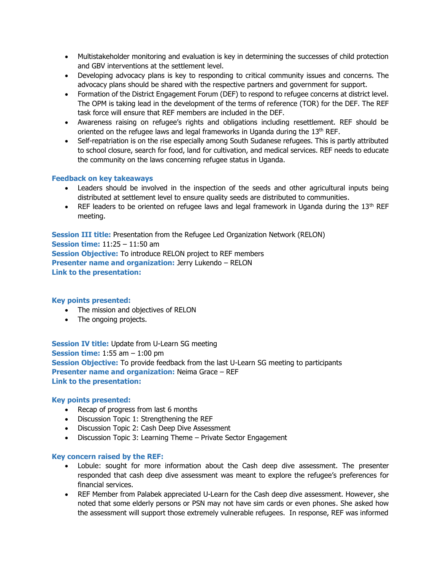- Multistakeholder monitoring and evaluation is key in determining the successes of child protection and GBV interventions at the settlement level.
- Developing advocacy plans is key to responding to critical community issues and concerns. The advocacy plans should be shared with the respective partners and government for support.
- Formation of the District Engagement Forum (DEF) to respond to refugee concerns at district level. The OPM is taking lead in the development of the terms of reference (TOR) for the DEF. The REF task force will ensure that REF members are included in the DEF.
- Awareness raising on refugee's rights and obligations including resettlement. REF should be oriented on the refugee laws and legal frameworks in Uganda during the 13<sup>th</sup> REF.
- Self-repatriation is on the rise especially among South Sudanese refugees. This is partly attributed to school closure, search for food, land for cultivation, and medical services. REF needs to educate the community on the laws concerning refugee status in Uganda.

# **Feedback on key takeaways**

- Leaders should be involved in the inspection of the seeds and other agricultural inputs being distributed at settlement level to ensure quality seeds are distributed to communities.
- REF leaders to be oriented on refugee laws and legal framework in Uganda during the  $13<sup>th</sup>$  REF meeting.

**Session III title:** Presentation from the Refugee Led Organization Network (RELON) **Session time:** 11:25 – 11:50 am **Session Objective:** To introduce RELON project to REF members **Presenter name and organization:** Jerry Lukendo – RELON **Link to the presentation:**

#### **Key points presented:**

- The mission and objectives of RELON
- The ongoing projects.

**Session IV title:** Update from U-Learn SG meeting **Session time:** 1:55 am – 1:00 pm **Session Objective:** To provide feedback from the last U-Learn SG meeting to participants **Presenter name and organization:** Neima Grace – REF **Link to the presentation:**

## **Key points presented:**

- Recap of progress from last 6 months
- Discussion Topic 1: Strengthening the REF
- Discussion Topic 2: Cash Deep Dive Assessment
- Discussion Topic 3: Learning Theme Private Sector Engagement

#### **Key concern raised by the REF:**

- Lobule: sought for more information about the Cash deep dive assessment. The presenter responded that cash deep dive assessment was meant to explore the refugee's preferences for financial services.
- REF Member from Palabek appreciated U-Learn for the Cash deep dive assessment. However, she noted that some elderly persons or PSN may not have sim cards or even phones. She asked how the assessment will support those extremely vulnerable refugees. In response, REF was informed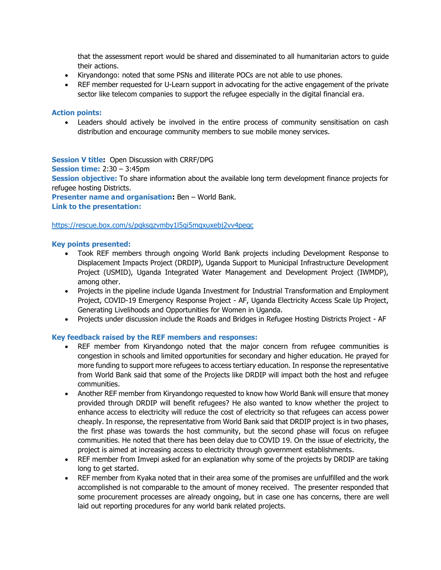that the assessment report would be shared and disseminated to all humanitarian actors to guide their actions.

- Kiryandongo: noted that some PSNs and illiterate POCs are not able to use phones.
- REF member requested for U-Learn support in advocating for the active engagement of the private sector like telecom companies to support the refugee especially in the digital financial era.

#### **Action points:**

• Leaders should actively be involved in the entire process of community sensitisation on cash distribution and encourage community members to sue mobile money services.

#### **Session V title:** Open Discussion with CRRF/DPG

**Session time:** 2:30 – 3:45pm

**Session objective:** To share information about the available long term development finance projects for refugee hosting Districts.

**Presenter name and organisation:** Ben – World Bank.

# **Link to the presentation:**

#### <https://rescue.box.com/s/pqksqzvmby1l5gi5mqxuxebj2vv4pegc>

#### **Key points presented:**

- Took REF members through ongoing World Bank projects including Development Response to Displacement Impacts Project (DRDIP), Uganda Support to Municipal Infrastructure Development Project (USMID), Uganda Integrated Water Management and Development Project (IWMDP), among other.
- Projects in the pipeline include Uganda Investment for Industrial Transformation and Employment Project, COVID-19 Emergency Response Project - AF, Uganda Electricity Access Scale Up Project, Generating Livelihoods and Opportunities for Women in Uganda.
- Projects under discussion include the Roads and Bridges in Refugee Hosting Districts Project AF

#### **Key feedback raised by the REF members and responses:**

- REF member from Kiryandongo noted that the major concern from refugee communities is congestion in schools and limited opportunities for secondary and higher education. He prayed for more funding to support more refugees to access tertiary education. In response the representative from World Bank said that some of the Projects like DRDIP will impact both the host and refugee communities.
- Another REF member from Kiryandongo requested to know how World Bank will ensure that money provided through DRDIP will benefit refugees? He also wanted to know whether the project to enhance access to electricity will reduce the cost of electricity so that refugees can access power cheaply. In response, the representative from World Bank said that DRDIP project is in two phases, the first phase was towards the host community, but the second phase will focus on refugee communities. He noted that there has been delay due to COVID 19. On the issue of electricity, the project is aimed at increasing access to electricity through government establishments.
- REF member from Imvepi asked for an explanation why some of the projects by DRDIP are taking long to get started.
- REF member from Kyaka noted that in their area some of the promises are unfulfilled and the work accomplished is not comparable to the amount of money received. The presenter responded that some procurement processes are already ongoing, but in case one has concerns, there are well laid out reporting procedures for any world bank related projects.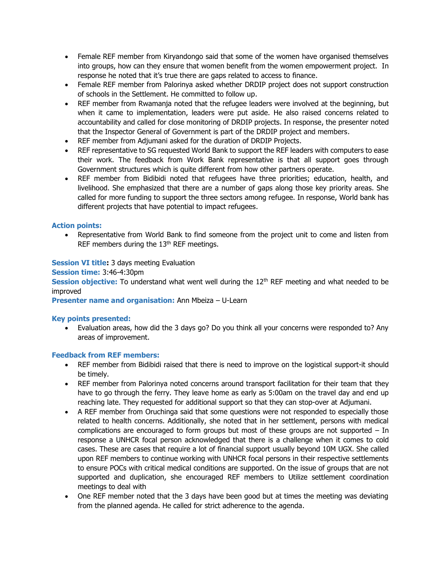- Female REF member from Kiryandongo said that some of the women have organised themselves into groups, how can they ensure that women benefit from the women empowerment project. In response he noted that it's true there are gaps related to access to finance.
- Female REF member from Palorinya asked whether DRDIP project does not support construction of schools in the Settlement. He committed to follow up.
- REF member from Rwamanja noted that the refugee leaders were involved at the beginning, but when it came to implementation, leaders were put aside. He also raised concerns related to accountability and called for close monitoring of DRDIP projects. In response, the presenter noted that the Inspector General of Government is part of the DRDIP project and members.
- REF member from Adjumani asked for the duration of DRDIP Projects.
- REF representative to SG requested World Bank to support the REF leaders with computers to ease their work. The feedback from Work Bank representative is that all support goes through Government structures which is quite different from how other partners operate.
- REF member from Bidibidi noted that refugees have three priorities; education, health, and livelihood. She emphasized that there are a number of gaps along those key priority areas. She called for more funding to support the three sectors among refugee. In response, World bank has different projects that have potential to impact refugees.

# **Action points:**

• Representative from World Bank to find someone from the project unit to come and listen from REF members during the 13<sup>th</sup> REF meetings.

# **Session VI title:** 3 days meeting Evaluation

**Session time:** 3:46-4:30pm

**Session objective:** To understand what went well during the 12<sup>th</sup> REF meeting and what needed to be improved

#### **Presenter name and organisation:** Ann Mbeiza – U-Learn

#### **Key points presented:**

• Evaluation areas, how did the 3 days go? Do you think all your concerns were responded to? Any areas of improvement.

#### **Feedback from REF members:**

- REF member from Bidibidi raised that there is need to improve on the logistical support-it should be timely.
- REF member from Palorinya noted concerns around transport facilitation for their team that they have to go through the ferry. They leave home as early as 5:00am on the travel day and end up reaching late. They requested for additional support so that they can stop-over at Adjumani.
- A REF member from Oruchinga said that some questions were not responded to especially those related to health concerns. Additionally, she noted that in her settlement, persons with medical complications are encouraged to form groups but most of these groups are not supported – In response a UNHCR focal person acknowledged that there is a challenge when it comes to cold cases. These are cases that require a lot of financial support usually beyond 10M UGX. She called upon REF members to continue working with UNHCR focal persons in their respective settlements to ensure POCs with critical medical conditions are supported. On the issue of groups that are not supported and duplication, she encouraged REF members to Utilize settlement coordination meetings to deal with
- One REF member noted that the 3 days have been good but at times the meeting was deviating from the planned agenda. He called for strict adherence to the agenda.